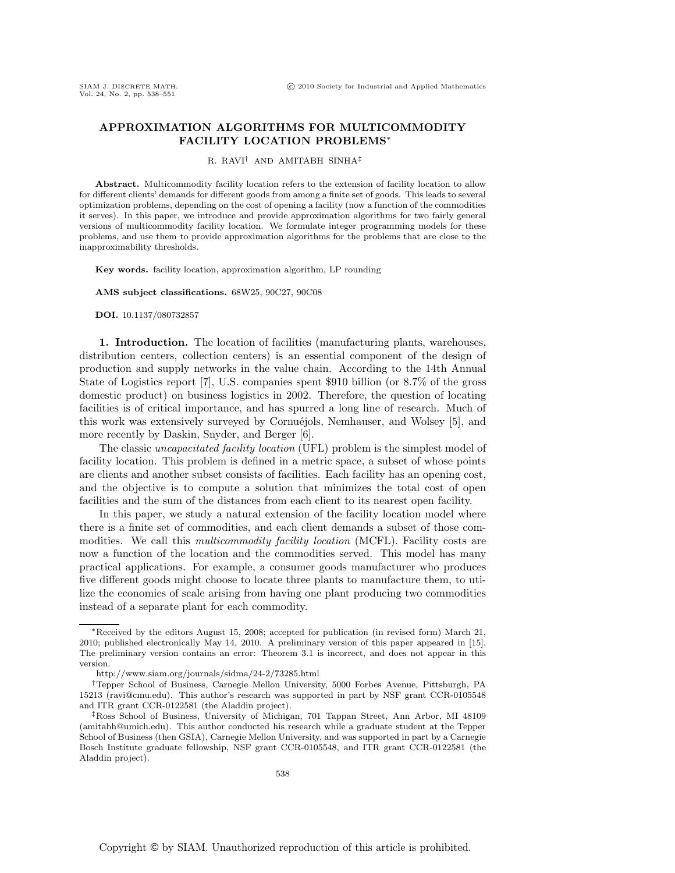# **APPROXIMATION ALGORITHMS FOR MULTICOMMODITY FACILITY LOCATION PROBLEMS**∗

#### R. RAVI† AND AMITABH SINHA‡

**Abstract.** Multicommodity facility location refers to the extension of facility location to allow for different clients' demands for different goods from among a finite set of goods. This leads to several optimization problems, depending on the cost of opening a facility (now a function of the commodities it serves). In this paper, we introduce and provide approximation algorithms for two fairly general versions of multicommodity facility location. We formulate integer programming models for these problems, and use them to provide approximation algorithms for the problems that are close to the inapproximability thresholds.

**Key words.** facility location, approximation algorithm, LP rounding

**AMS subject classifications.** 68W25, 90C27, 90C08

**DOI.** 10.1137/080732857

**1. Introduction.** The location of facilities (manufacturing plants, warehouses, distribution centers, collection centers) is an essential component of the design of production and supply networks in the value chain. According to the 14th Annual State of Logistics report [7], U.S. companies spent \$910 billion (or 8.7% of the gross domestic product) on business logistics in 2002. Therefore, the question of locating facilities is of critical importance, and has spurred a long line of research. Much of this work was extensively surveyed by Cornuéjols, Nemhauser, and Wolsey [5], and more recently by Daskin, Snyder, and Berger [6].

The classic *uncapacitated facility location* (UFL) problem is the simplest model of facility location. This problem is defined in a metric space, a subset of whose points are clients and another subset consists of facilities. Each facility has an opening cost, and the objective is to compute a solution that minimizes the total cost of open facilities and the sum of the distances from each client to its nearest open facility.

In this paper, we study a natural extension of the facility location model where there is a finite set of commodities, and each client demands a subset of those commodities. We call this *multicommodity facility location* (MCFL). Facility costs are now a function of the location and the commodities served. This model has many practical applications. For example, a consumer goods manufacturer who produces five different goods might choose to locate three plants to manufacture them, to utilize the economies of scale arising from having one plant producing two commodities instead of a separate plant for each commodity.

<sup>∗</sup>Received by the editors August 15, 2008; accepted for publication (in revised form) March 21, 2010; published electronically May 14, 2010. A preliminary version of this paper appeared in [15]. The preliminary version contains an error: Theorem 3.1 is incorrect, and does not appear in this version.

http://www.siam.org/journals/sidma/24-2/73285.html

<sup>†</sup>Tepper School of Business, Carnegie Mellon University, 5000 Forbes Avenue, Pittsburgh, PA 15213 (ravi@cmu.edu). This author's research was supported in part by NSF grant CCR-0105548 and ITR grant CCR-0122581 (the Aladdin project).

<sup>‡</sup>Ross School of Business, University of Michigan, 701 Tappan Street, Ann Arbor, MI 48109 (amitabh@umich.edu). This author conducted his research while a graduate student at the Tepper School of Business (then GSIA), Carnegie Mellon University, and was supported in part by a Carnegie Bosch Institute graduate fellowship, NSF grant CCR-0105548, and ITR grant CCR-0122581 (the Aladdin project).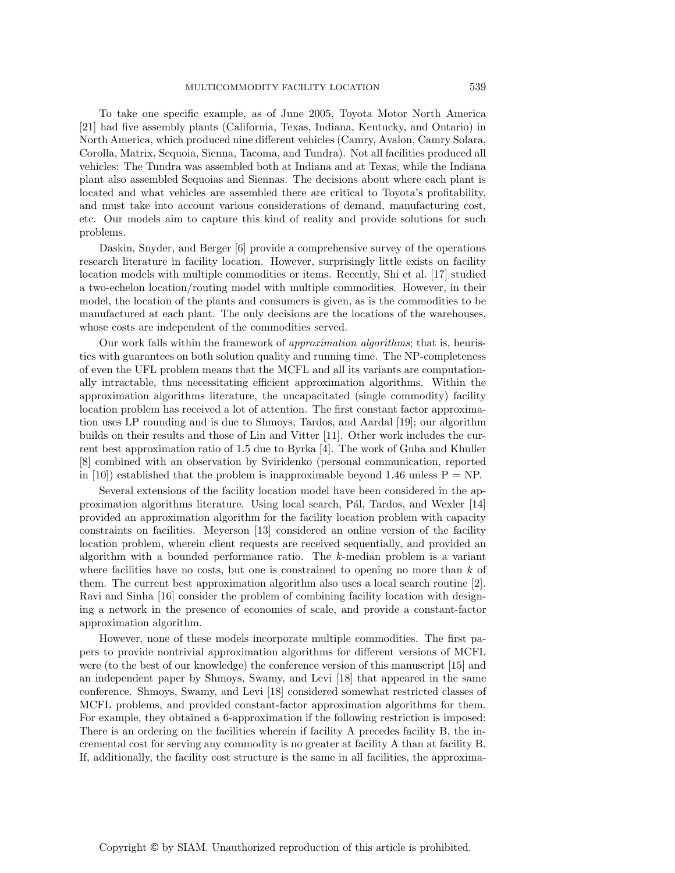To take one specific example, as of June 2005, Toyota Motor North America [21] had five assembly plants (California, Texas, Indiana, Kentucky, and Ontario) in North America, which produced nine different vehicles (Camry, Avalon, Camry Solara, Corolla, Matrix, Sequoia, Sienna, Tacoma, and Tundra). Not all facilities produced all vehicles: The Tundra was assembled both at Indiana and at Texas, while the Indiana plant also assembled Sequoias and Siennas. The decisions about where each plant is located and what vehicles are assembled there are critical to Toyota's profitability, and must take into account various considerations of demand, manufacturing cost, etc. Our models aim to capture this kind of reality and provide solutions for such problems.

Daskin, Snyder, and Berger [6] provide a comprehensive survey of the operations research literature in facility location. However, surprisingly little exists on facility location models with multiple commodities or items. Recently, Shi et al. [17] studied a two-echelon location/routing model with multiple commodities. However, in their model, the location of the plants and consumers is given, as is the commodities to be manufactured at each plant. The only decisions are the locations of the warehouses, whose costs are independent of the commodities served.

Our work falls within the framework of *approximation algorithms*; that is, heuristics with guarantees on both solution quality and running time. The NP-completeness of even the UFL problem means that the MCFL and all its variants are computationally intractable, thus necessitating efficient approximation algorithms. Within the approximation algorithms literature, the uncapacitated (single commodity) facility location problem has received a lot of attention. The first constant factor approximation uses LP rounding and is due to Shmoys, Tardos, and Aardal [19]; our algorithm builds on their results and those of Lin and Vitter [11]. Other work includes the current best approximation ratio of 1.5 due to Byrka [4]. The work of Guha and Khuller [8] combined with an observation by Sviridenko (personal communication, reported in [10]) established that the problem is inapproximable beyond 1.46 unless  $P = NP$ .

Several extensions of the facility location model have been considered in the approximation algorithms literature. Using local search, P´al, Tardos, and Wexler [14] provided an approximation algorithm for the facility location problem with capacity constraints on facilities. Meyerson [13] considered an online version of the facility location problem, wherein client requests are received sequentially, and provided an algorithm with a bounded performance ratio. The k-median problem is a variant where facilities have no costs, but one is constrained to opening no more than  $k$  of them. The current best approximation algorithm also uses a local search routine [2]. Ravi and Sinha [16] consider the problem of combining facility location with designing a network in the presence of economies of scale, and provide a constant-factor approximation algorithm.

However, none of these models incorporate multiple commodities. The first papers to provide nontrivial approximation algorithms for different versions of MCFL were (to the best of our knowledge) the conference version of this manuscript [15] and an independent paper by Shmoys, Swamy, and Levi [18] that appeared in the same conference. Shmoys, Swamy, and Levi [18] considered somewhat restricted classes of MCFL problems, and provided constant-factor approximation algorithms for them. For example, they obtained a 6-approximation if the following restriction is imposed: There is an ordering on the facilities wherein if facility A precedes facility B, the incremental cost for serving any commodity is no greater at facility A than at facility B. If, additionally, the facility cost structure is the same in all facilities, the approxima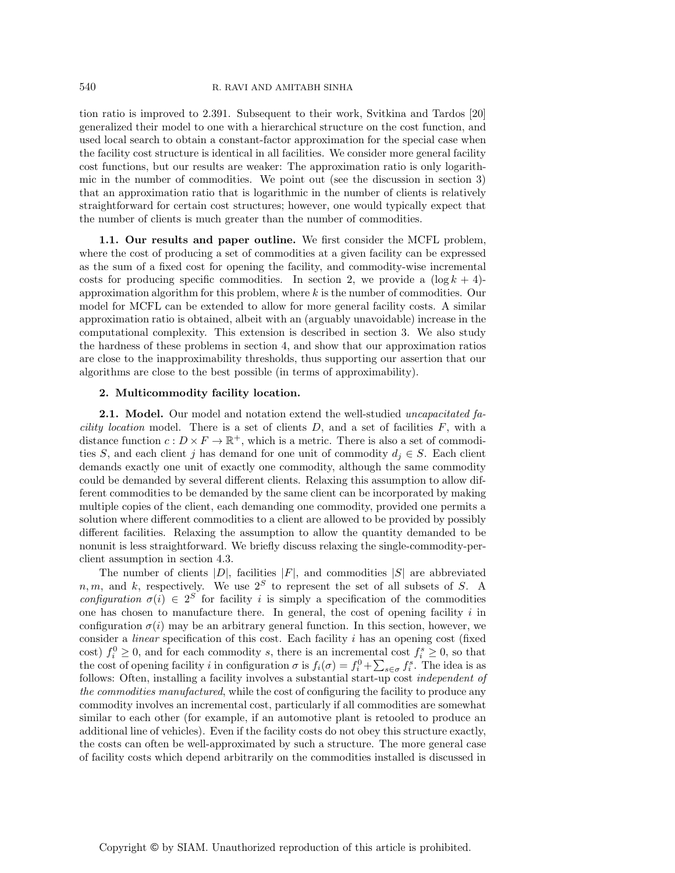tion ratio is improved to 2.391. Subsequent to their work, Svitkina and Tardos [20] generalized their model to one with a hierarchical structure on the cost function, and used local search to obtain a constant-factor approximation for the special case when the facility cost structure is identical in all facilities. We consider more general facility cost functions, but our results are weaker: The approximation ratio is only logarithmic in the number of commodities. We point out (see the discussion in section 3) that an approximation ratio that is logarithmic in the number of clients is relatively straightforward for certain cost structures; however, one would typically expect that the number of clients is much greater than the number of commodities.

**1.1. Our results and paper outline.** We first consider the MCFL problem, where the cost of producing a set of commodities at a given facility can be expressed as the sum of a fixed cost for opening the facility, and commodity-wise incremental costs for producing specific commodities. In section 2, we provide a  $(\log k + 4)$ approximation algorithm for this problem, where k is the number of commodities. Our model for MCFL can be extended to allow for more general facility costs. A similar approximation ratio is obtained, albeit with an (arguably unavoidable) increase in the computational complexity. This extension is described in section 3. We also study the hardness of these problems in section 4, and show that our approximation ratios are close to the inapproximability thresholds, thus supporting our assertion that our algorithms are close to the best possible (in terms of approximability).

## **2. Multicommodity facility location.**

**2.1. Model.** Our model and notation extend the well-studied *uncapacitated facility location* model. There is a set of clients D, and a set of facilities F, with a distance function  $c: D \times F \to \mathbb{R}^+$ , which is a metric. There is also a set of commodities S, and each client j has demand for one unit of commodity  $d_i \in S$ . Each client demands exactly one unit of exactly one commodity, although the same commodity could be demanded by several different clients. Relaxing this assumption to allow different commodities to be demanded by the same client can be incorporated by making multiple copies of the client, each demanding one commodity, provided one permits a solution where different commodities to a client are allowed to be provided by possibly different facilities. Relaxing the assumption to allow the quantity demanded to be nonunit is less straightforward. We briefly discuss relaxing the single-commodity-perclient assumption in section 4.3.

The number of clients  $|D|$ , facilities  $|F|$ , and commodities  $|S|$  are abbreviated n, m, and k, respectively. We use  $2<sup>S</sup>$  to represent the set of all subsets of S. A *configuration*  $\sigma(i) \in 2^S$  for facility i is simply a specification of the commodities one has chosen to manufacture there. In general, the cost of opening facility  $i$  in configuration  $\sigma(i)$  may be an arbitrary general function. In this section, however, we consider a *linear* specification of this cost. Each facility i has an opening cost (fixed cost)  $f_i^0 \geq 0$ , and for each commodity s, there is an incremental cost  $f_i^s \geq 0$ , so that the cost of opening facility i in configuration  $\sigma$  is  $f_i(\sigma) = f_i^0 + \sum_{s \in \sigma} f_i^s$ . The idea is as follows: Often, installing a facility involves a substantial start-up cost *independent of the commodities manufactured*, while the cost of configuring the facility to produce any commodity involves an incremental cost, particularly if all commodities are somewhat similar to each other (for example, if an automotive plant is retooled to produce an additional line of vehicles). Even if the facility costs do not obey this structure exactly, the costs can often be well-approximated by such a structure. The more general case of facility costs which depend arbitrarily on the commodities installed is discussed in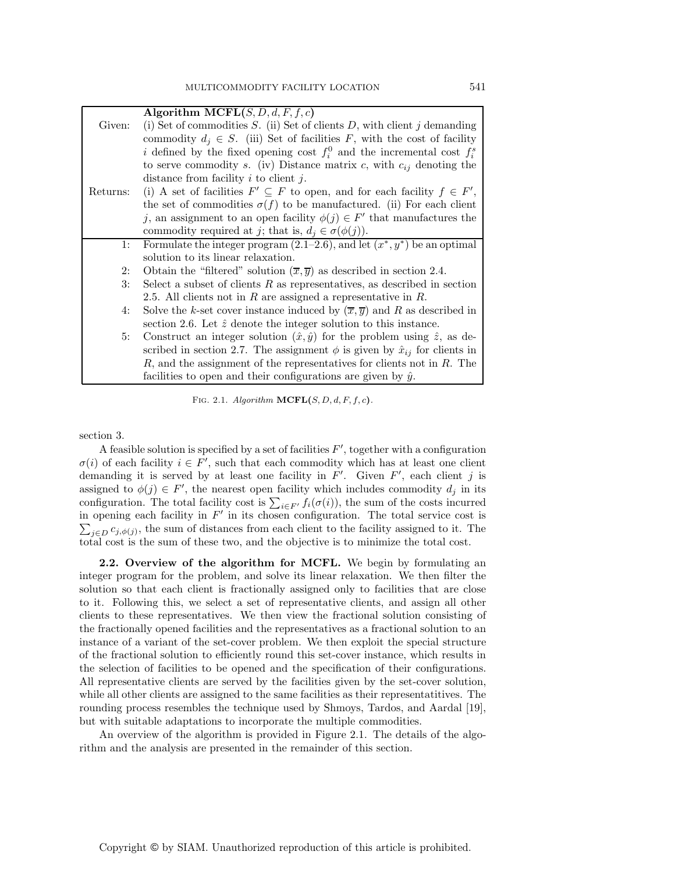|          | Algorithm MCFL $(S, D, d, F, f, c)$                                                            |
|----------|------------------------------------------------------------------------------------------------|
| Given:   | (i) Set of commodities $S$ . (ii) Set of clients $D$ , with client j demanding                 |
|          | commodity $d_i \in S$ . (iii) Set of facilities F, with the cost of facility                   |
|          | i defined by the fixed opening cost $f_i^0$ and the incremental cost $f_i^s$                   |
|          | to serve commodity s. (iv) Distance matrix c, with $c_{ij}$ denoting the                       |
|          | distance from facility $i$ to client $j$ .                                                     |
| Returns: | (i) A set of facilities $F' \subseteq F$ to open, and for each facility $f \in F'$ ,           |
|          | the set of commodities $\sigma(f)$ to be manufactured. (ii) For each client                    |
|          | j, an assignment to an open facility $\phi(j) \in F'$ that manufactures the                    |
|          | commodity required at j; that is, $d_i \in \sigma(\phi(j))$ .                                  |
| 1:       | Formulate the integer program $(2.1-2.6)$ , and let $(x^*, y^*)$ be an optimal                 |
|          | solution to its linear relaxation.                                                             |
| 2:       | Obtain the "filtered" solution $(\overline{x}, \overline{y})$ as described in section 2.4.     |
| 3:       | Select a subset of clients $R$ as representatives, as described in section                     |
|          | 2.5. All clients not in $R$ are assigned a representative in $R$ .                             |
| 4:       | Solve the k-set cover instance induced by $(\overline{x}, \overline{y})$ and R as described in |
|          | section 2.6. Let $\hat{z}$ denote the integer solution to this instance.                       |
| 5:       | Construct an integer solution $(\hat{x}, \hat{y})$ for the problem using $\hat{z}$ , as de-    |
|          | scribed in section 2.7. The assignment $\phi$ is given by $\hat{x}_{ij}$ for clients in        |
|          | $R$ , and the assignment of the representatives for clients not in $R$ . The                   |
|          | facilities to open and their configurations are given by $\hat{y}$ .                           |

FIG. 2.1. *Algorithm* **MCFL** $(S, D, d, F, f, c)$ *.* 

section 3.

A feasible solution is specified by a set of facilities  $F'$ , together with a configuration  $\sigma(i)$  of each facility  $i \in F'$ , such that each commodity which has at least one client demanding it is served by at least one facility in  $F'$ . Given  $F'$ , each client j is assigned to  $\phi(j) \in F'$ , the nearest open facility which includes commodity  $d_j$  in its configuration. The total facility cost is  $\sum_{i\in F'} f_i(\sigma(i))$ , the sum of the costs incurred in opening each facility in  $F'$  in its chosen configuration. The total service cost is  $\sum_{j\in D} c_{j,\phi(j)}$ , the sum of distances from each client to the facility assigned to it. The total cost is the sum of these two, and the objective is to minimize the total cost.

**2.2. Overview of the algorithm for MCFL.** We begin by formulating an integer program for the problem, and solve its linear relaxation. We then filter the solution so that each client is fractionally assigned only to facilities that are close to it. Following this, we select a set of representative clients, and assign all other clients to these representatives. We then view the fractional solution consisting of the fractionally opened facilities and the representatives as a fractional solution to an instance of a variant of the set-cover problem. We then exploit the special structure of the fractional solution to efficiently round this set-cover instance, which results in the selection of facilities to be opened and the specification of their configurations. All representative clients are served by the facilities given by the set-cover solution, while all other clients are assigned to the same facilities as their representatitives. The rounding process resembles the technique used by Shmoys, Tardos, and Aardal [19], but with suitable adaptations to incorporate the multiple commodities.

An overview of the algorithm is provided in Figure 2.1. The details of the algorithm and the analysis are presented in the remainder of this section.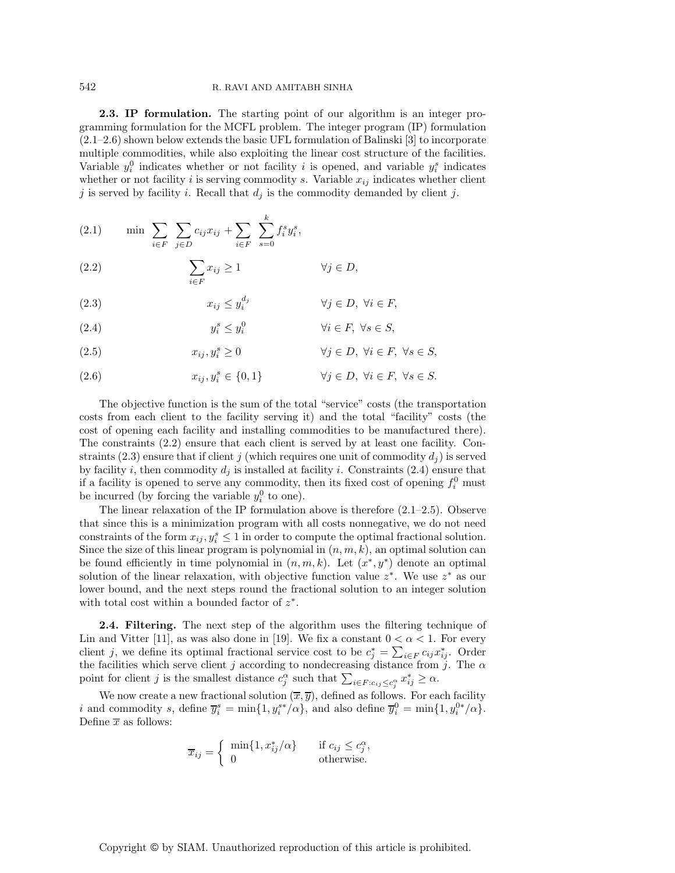**2.3. IP formulation.** The starting point of our algorithm is an integer programming formulation for the MCFL problem. The integer program (IP) formulation (2.1–2.6) shown below extends the basic UFL formulation of Balinski [3] to incorporate multiple commodities, while also exploiting the linear cost structure of the facilities. Variable  $y_i^0$  indicates whether or not facility i is opened, and variable  $y_i^s$  indicates whether or not facility i is serving commodity s. Variable  $x_{ij}$  indicates whether client j is served by facility i. Recall that  $d_j$  is the commodity demanded by client j.

(2.1) 
$$
\min \sum_{i \in F} \sum_{j \in D} c_{ij} x_{ij} + \sum_{i \in F} \sum_{s=0}^{k} f_i^s y_i^s,
$$

(2.2) 
$$
\sum_{i \in F} x_{ij} \ge 1 \qquad \forall j \in D,
$$

(2.3) 
$$
x_{ij} \le y_i^{d_j} \qquad \forall j \in D, \ \forall i \in F,
$$

(2.4) 
$$
y_i^s \le y_i^0 \qquad \forall i \in F, \ \forall s \in S,
$$

(2.5) 
$$
x_{ij}, y_i^s \ge 0 \qquad \forall j \in D, \ \forall i \in F, \ \forall s \in S,
$$

(2.6) 
$$
x_{ij}, y_i^s \in \{0, 1\} \qquad \forall j \in D, \ \forall i \in F, \ \forall s \in S.
$$

The objective function is the sum of the total "service" costs (the transportation costs from each client to the facility serving it) and the total "facility" costs (the cost of opening each facility and installing commodities to be manufactured there). The constraints (2.2) ensure that each client is served by at least one facility. Constraints (2.3) ensure that if client j (which requires one unit of commodity  $d_i$ ) is served by facility i, then commodity  $d_i$  is installed at facility i. Constraints (2.4) ensure that if a facility is opened to serve any commodity, then its fixed cost of opening  $f_i^0$  must be incurred (by forcing the variable  $y_i^0$  to one).

The linear relaxation of the IP formulation above is therefore  $(2.1-2.5)$ . Observe that since this is a minimization program with all costs nonnegative, we do not need constraints of the form  $x_{ij}, y_i^s \leq 1$  in order to compute the optimal fractional solution. Since the size of this linear program is polynomial in  $(n, m, k)$ , an optimal solution can be found efficiently in time polynomial in  $(n, m, k)$ . Let  $(x^*, y^*)$  denote an optimal solution of the linear relaxation, with objective function value  $z^*$ . We use  $z^*$  as our lower bound, and the next steps round the fractional solution to an integer solution with total cost within a bounded factor of  $z^*$ .

**2.4. Filtering.** The next step of the algorithm uses the filtering technique of Lin and Vitter [11], as was also done in [19]. We fix a constant  $0 < \alpha < 1$ . For every client j, we define its optimal fractional service cost to be  $c_j^* = \sum_{i \in F} c_{ij} x_{ij}^*$ . Order the facilities which serve client j according to nondecreasing distance from j. The  $\alpha$ point for client j is the smallest distance  $c_j^{\alpha}$  such that  $\sum_{i \in F : c_{ij} \leq c_j^{\alpha}} x_{ij}^* \geq \alpha$ .

We now create a new fractional solution  $(\overline{x}, \overline{y})$ , defined as follows. For each facility i and commodity s, define  $\overline{y_i^s} = \min\{1, y_i^{s*}/\alpha\}$ , and also define  $\overline{y_i^0} = \min\{1, y_i^{0*}/\alpha\}.$ Define  $\overline{x}$  as follows:

$$
\overline{x}_{ij} = \begin{cases}\n\min\{1, x_{ij}^*/\alpha\} & \text{if } c_{ij} \le c_j^{\alpha}, \\
0 & \text{otherwise.} \n\end{cases}
$$

Copyright © by SIAM. Unauthorized reproduction of this article is prohibited.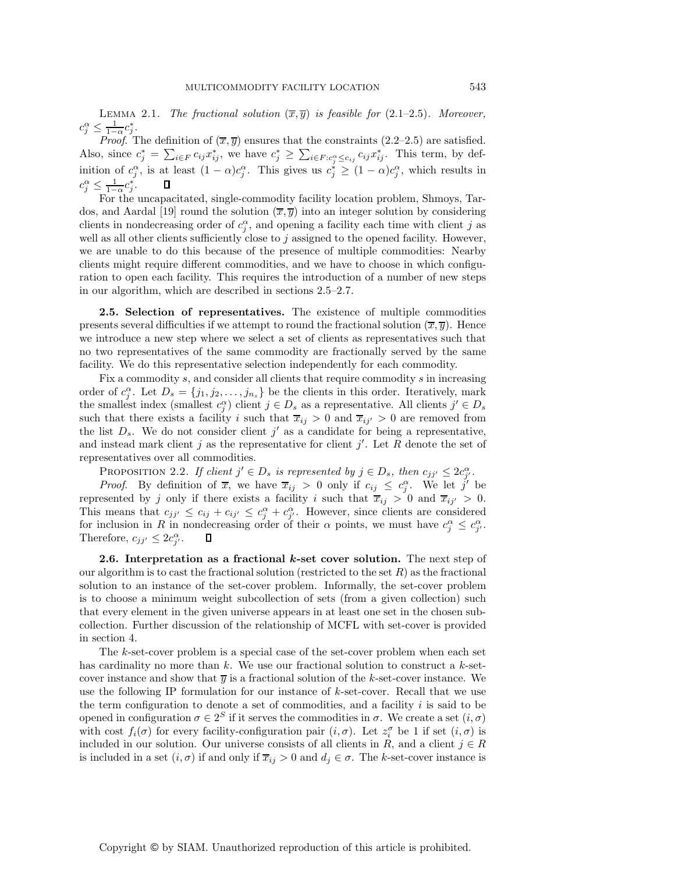LEMMA 2.1. *The fractional solution*  $(\overline{x}, \overline{y})$  *is feasible for* (2.1–2.5)*. Moreover,*  $c_j^{\alpha} \leq \frac{1}{1-\alpha} c_j^*$ .<br>*Proof* T

*Proof.* The definition of  $(\overline{x}, \overline{y})$  ensures that the constraints (2.2–2.5) are satisfied. Also, since  $c_j^* = \sum_{i \in F} c_{ij} x_{ij}^*$ , we have  $c_j^* \geq \sum_{i \in F : c_j^{\alpha} \leq c_{ij}} c_{ij} x_{ij}^*$ . This term, by definition of  $c_i^{\alpha}$ , is at least  $(1-\alpha)c_i^{\alpha}$ . This gives us  $c_i^* \geq (1-\alpha)c_i^{\alpha}$ , which results in  $c_j^{\alpha} \leq \frac{1}{1-\alpha} c_j^*$ .<br>For the  $\Box$ 

For the uncapacitated, single-commodity facility location problem, Shmoys, Tardos, and Aardal [19] round the solution  $(\overline{x}, \overline{y})$  into an integer solution by considering clients in nondecreasing order of  $c_i^{\alpha}$ , and opening a facility each time with client j as well as all other clients sufficiently close to j assigned to the opened facility. However, we are unable to do this because of the presence of multiple commodities: Nearby clients might require different commodities, and we have to choose in which configuration to open each facility. This requires the introduction of a number of new steps in our algorithm, which are described in sections 2.5–2.7.

**2.5. Selection of representatives.** The existence of multiple commodities presents several difficulties if we attempt to round the fractional solution  $(\overline{x}, \overline{y})$ . Hence we introduce a new step where we select a set of clients as representatives such that no two representatives of the same commodity are fractionally served by the same facility. We do this representative selection independently for each commodity.

Fix a commodity s, and consider all clients that require commodity s in increasing order of  $c_j^{\alpha}$ . Let  $D_s = \{j_1, j_2, \ldots, j_{n_s}\}$  be the clients in this order. Iteratively, mark the smallest index (smallest  $c_i^{\alpha}$ ) client  $j \in D_s$  as a representative. All clients  $j' \in D_s$ such that there exists a facility i such that  $\overline{x}_{ij} > 0$  and  $\overline{x}_{ij'} > 0$  are removed from the list  $D_s$ . We do not consider client j' as a candidate for being a representative, and instead mark client j as the representative for client j'. Let R denote the set of representatives over all commodities.

PROPOSITION 2.2. If client  $j' \in D_s$  is represented by  $j \in D_s$ , then  $c_{jj'} \leq 2c_{j'}^{\alpha}$ .

*Proof.* By definition of  $\overline{x}$ , we have  $\overline{x}_{ij} > 0$  only if  $c_{ij} \leq c_i^{\alpha}$ . We let j' be represented by j only if there exists a facility i such that  $\overline{x}_{ij} > 0$  and  $\overline{x}_{ij'} > 0$ . This means that  $c_{jj'} \leq c_{ij} + c_{ij'} \leq c_j^{\alpha} + c_{j'}^{\alpha}$ . However, since clients are considered for inclusion in R in nondecreasing order of their  $\alpha$  points, we must have  $c_j^{\alpha} \leq c_{j'}^{\alpha}$ . Therefore,  $c_{jj'} \leq 2c_{j'}^{\alpha}$ .  $\Box$ 

**2.6. Interpretation as a fractional** *k***-set cover solution.** The next step of our algorithm is to cast the fractional solution (restricted to the set  $R$ ) as the fractional solution to an instance of the set-cover problem. Informally, the set-cover problem is to choose a minimum weight subcollection of sets (from a given collection) such that every element in the given universe appears in at least one set in the chosen subcollection. Further discussion of the relationship of MCFL with set-cover is provided in section 4.

The k-set-cover problem is a special case of the set-cover problem when each set has cardinality no more than k. We use our fractional solution to construct a k-setcover instance and show that  $\overline{y}$  is a fractional solution of the k-set-cover instance. We use the following IP formulation for our instance of  $k$ -set-cover. Recall that we use the term configuration to denote a set of commodities, and a facility  $i$  is said to be opened in configuration  $\sigma \in 2^S$  if it serves the commodities in  $\sigma$ . We create a set  $(i, \sigma)$ with cost  $f_i(\sigma)$  for every facility-configuration pair  $(i, \sigma)$ . Let  $z_i^{\sigma}$  be 1 if set  $(i, \sigma)$  is included in our solution. Our universe consists of all clients in R, and a client  $j \in R$ is included in a set  $(i, \sigma)$  if and only if  $\overline{x}_{ij} > 0$  and  $d_j \in \sigma$ . The k-set-cover instance is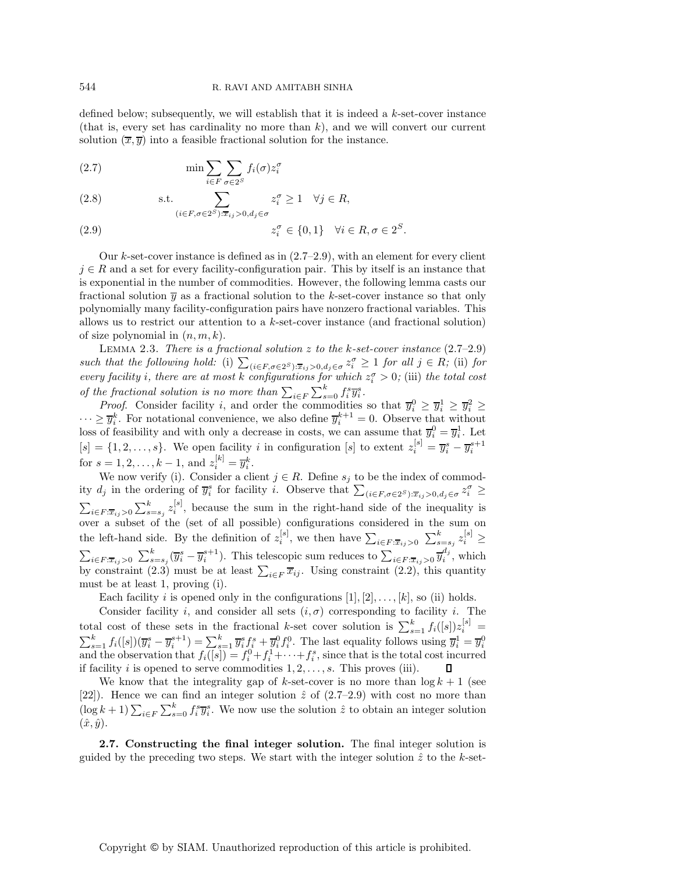defined below; subsequently, we will establish that it is indeed a  $k$ -set-cover instance (that is, every set has cardinality no more than  $k$ ), and we will convert our current solution  $(\overline{x}, \overline{y})$  into a feasible fractional solution for the instance.

(2.7) 
$$
\min \sum_{i \in F} \sum_{\sigma \in 2^S} f_i(\sigma) z_i^{\sigma}
$$

(2.8) s.t. 
$$
\sum_{(i \in F, \sigma \in 2^S): \overline{x}_{ij} > 0, d_j \in \sigma} z_i^{\sigma} \ge 1 \quad \forall j \in R,
$$

(2.9) 
$$
z_i^{\sigma} \in \{0, 1\} \quad \forall i \in R, \sigma \in 2^S.
$$

Our k-set-cover instance is defined as in  $(2.7-2.9)$ , with an element for every client  $j \in R$  and a set for every facility-configuration pair. This by itself is an instance that is exponential in the number of commodities. However, the following lemma casts our fractional solution  $\bar{y}$  as a fractional solution to the k-set-cover instance so that only polynomially many facility-configuration pairs have nonzero fractional variables. This allows us to restrict our attention to a  $k$ -set-cover instance (and fractional solution) of size polynomial in  $(n, m, k)$ .

Lemma 2.3. *There is a fractional solution* z *to the* k*-set-cover instance* (2.7–2.9)  $such$  *that the following hold:* (i)  $\sum_{(i \in F, \sigma \in 2^S) : \overline{x}_{ij} > 0, d_j \in \sigma} z_i^{\sigma} \ge 1$  *for all*  $j \in R$ ; (ii) *for every facility i*, there are at most k configurations for which  $z_i^{\sigma} > 0$ ; (iii) the total cost *of the fractional solution is no more than*  $\sum_{i \in F} \sum_{s=0}^{k} f_i^s \overline{y}_i^s$ .<br> *Proof.* Consider facility *i*, and order the commodities

*Proof.* Consider facility i, and order the commodities so that  $\overline{y}_i^0 \geq \overline{y}_i^1 \geq \overline{y}_i^2 \geq$  $\cdots \geq \overline{y_i^k}$ . For notational convenience, we also define  $\overline{y_i^{k+1}} = 0$ . Observe that without loss of feasibility and with only a decrease in costs, we can assume that  $\overline{y}_i^0 = \overline{y}_i^1$ . Let  $[s] = \{1, 2, \ldots, s\}$ . We open facility i in configuration [s] to extent  $z_i^{[s]} = \overline{y_i^s} - \overline{y_i^{s+1}}$ for  $s = 1, 2, ..., k - 1$ , and  $z_i^{[k]} = \overline{y}_i^k$ .

We now verify (i). Consider a client  $j \in R$ . Define  $s_j$  to be the index of commodity  $d_j$  in the ordering of  $\overline{y}_i^s$  for facility i. Observe that  $\sum_{(i \in F, \sigma \in 2^S): \overline{x}_{ij} > 0, d_j \in \sigma} z_i^{\sigma} \geq$  $\sum_{i \in F: \overline{x}_{ij} > 0} \sum_{s=s_j}^{k} z_i^{[s]}$ , because the sum in the right-hand side of the inequality is over a subset of the (set of all possible) configurations considered in the sum on the left-hand side. By the definition of  $z_i^{[s]}$ , we then have  $\sum_{i \in F: \overline{x}_{ij} > 0} \sum_{s=s_j}^{k} z_i^{[s]} \ge$  $i \in F: \overline{x}_{ij} > 0$  $\sum_{i \in F: \overline{x}_{ij} > 0} \sum_{s=s_j}^k (\overline{y}_i^s - \overline{y}_i^{s+1})$ . This telescopic sum reduces to  $\sum_{i \in F: \overline{x}_{ij} > 0} \overline{y}_i^{d_j}$ , which by constraint  $(2.3)$  must be at least  $\sum_{i\in F} \overline{x}_{ij}$ . Using constraint  $(2.2)$ , this quantity must be at least 1, proving (i).

Each facility *i* is opened only in the configurations  $[1], [2], \ldots, [k]$ , so (ii) holds.

Consider facility i, and consider all sets  $(i, \sigma)$  corresponding to facility i. The total cost of these sets in the fractional k-set cover solution is  $\sum_{s=1}^{k} f_i([s]) z_i^{[s]} =$ <br> $\sum_{k=1}^{k} f_i([s]) \overline{z_i^{s}} = \overline{z_i^{s+1}} \sum_{k=1}^{k} \overline{z_i^{s}}$  $\sum_{s=1}^{k} f_i([s])(\overline{y}_i^s - \overline{y}_i^{s+1}) = \sum_{s=1}^{k} \overline{y}_i^s f_i^s + \overline{y}_i^0 f_i^0$ . The last equality follows using  $\overline{y}_i^1 = \overline{y}_i^0$  and the observation that  $f_i([s]) = f_i^0 + f_i^1 + \cdots + f_i^s$ , since that is the total cost incurr if facility *i* is opened to serve commodities  $1, 2, \ldots, s$ . This proves (iii).

We know that the integrality gap of k-set-cover is no more than  $\log k + 1$  (see [22]). Hence we can find an integer solution  $\hat{z}$  of (2.7–2.9) with cost no more than  $(\log k + 1) \sum_{i \in F} \sum_{s=0}^{k} f_i^s \overline{y}_i^s$ . We now use the solution  $\hat{z}$  to obtain an integer solution  $(\hat{x}, \hat{y})$ .

**2.7. Constructing the final integer solution.** The final integer solution is guided by the preceding two steps. We start with the integer solution  $\hat{z}$  to the k-set-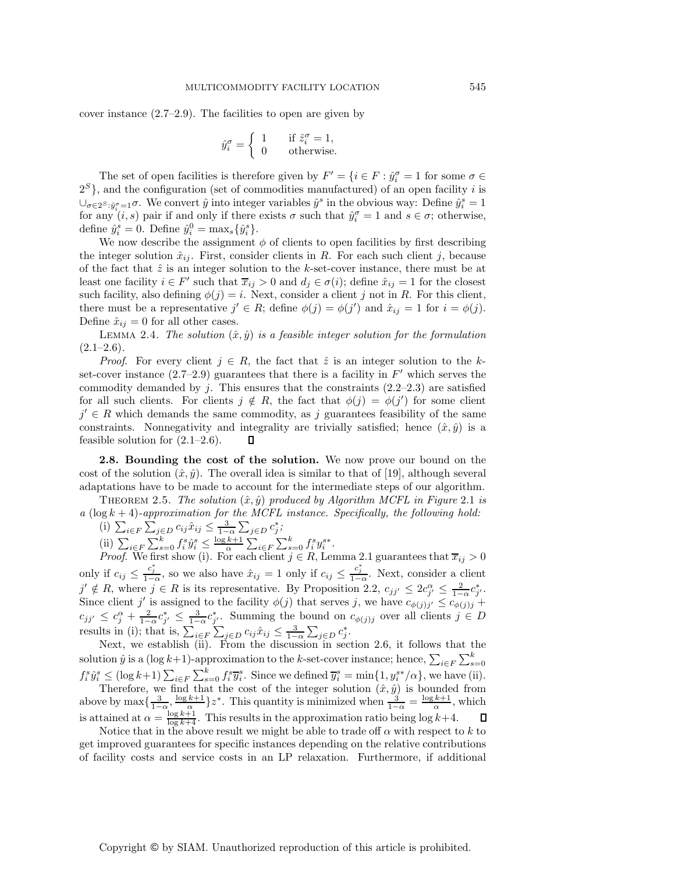cover instance (2.7–2.9). The facilities to open are given by

$$
\hat{y}_i^{\sigma} = \begin{cases} 1 & \text{if } \hat{z}_i^{\sigma} = 1, \\ 0 & \text{otherwise.} \end{cases}
$$

The set of open facilities is therefore given by  $F' = \{i \in F : \hat{y}_i^{\sigma} = 1 \text{ for some } \sigma \in$  $2^{S}$ , and the configuration (set of commodities manufactured) of an open facility i is  $\bigcup_{\sigma \in 2^S} \hat{y}^{\sigma}_{\sigma=1} \sigma$ . We convert  $\hat{y}$  into integer variables  $\hat{y}^s$  in the obvious way: Define  $\hat{y}^s_i = 1$ for any  $(i, s)$  pair if and only if there exists  $\sigma$  such that  $\hat{y}_i^{\sigma} = 1$  and  $s \in \sigma$ ; otherwise, define  $\hat{y}_i^s = 0$ . Define  $\hat{y}_i^0 = \max_s {\{\hat{y}_i^s\}}$ .

We now describe the assignment  $\phi$  of clients to open facilities by first describing the integer solution  $\hat{x}_{ij}$ . First, consider clients in R. For each such client j, because of the fact that  $\hat{z}$  is an integer solution to the k-set-cover instance, there must be at least one facility  $i \in F'$  such that  $\overline{x}_{ij} > 0$  and  $d_j \in \sigma(i)$ ; define  $\hat{x}_{ij} = 1$  for the closest such facility, also defining  $\phi(j) = i$ . Next, consider a client j not in R. For this client, there must be a representative  $j' \in R$ ; define  $\phi(j) = \phi(j')$  and  $\hat{x}_{ij} = 1$  for  $i = \phi(j)$ . Define  $\hat{x}_{ij} = 0$  for all other cases.

LEMMA 2.4. *The solution*  $(\hat{x}, \hat{y})$  *is a feasible integer solution for the formulation* (2.1–2.6)*.*

*Proof.* For every client  $j \in R$ , the fact that  $\hat{z}$  is an integer solution to the kset-cover instance  $(2.7-2.9)$  guarantees that there is a facility in  $F'$  which serves the commodity demanded by j. This ensures that the constraints  $(2.2-2.3)$  are satisfied for all such clients. For clients  $j \notin R$ , the fact that  $\phi(j) = \phi(j')$  for some client  $j' \in R$  which demands the same commodity, as j guarantees feasibility of the same constraints. Nonnegativity and integrality are trivially satisfied; hence  $(\hat{x}, \hat{y})$  is a feasible solution for  $(2.1-2.6)$ . П

**2.8. Bounding the cost of the solution.** We now prove our bound on the cost of the solution  $(\hat{x}, \hat{y})$ . The overall idea is similar to that of [19], although several adaptations have to be made to account for the intermediate steps of our algorithm.

THEOREM 2.5. *The solution*  $(\hat{x}, \hat{y})$  *produced by Algorithm MCFL in Figure* 2.1 *is*  $a \, (\log k + 4)$ -approximation for the MCFL instance. Specifically, the following hold:

(i) 
$$
\sum_{i \in F} \sum_{j \in D} c_{ij} \hat{x}_{ij} \le \frac{3}{1-\alpha} \sum_{j \in D} c_j^*
$$

(ii)  $\sum_{i \in F} \sum_{s=0}^{k} f_i^s \hat{y}_i^s \le \frac{\log k + 1}{\alpha} \sum_{i \in F} \sum_{s=0}^{k} f_i^s y_i^{s*}$ .<br>*Proof* We first show (i) For each client  $i \in R$ . Let

*Proof.* We first show (i). For each client  $j \in R$ , Lemma 2.1 guarantees that  $\overline{x}_{ij} > 0$ only if  $c_{ij} \n\t\leq \frac{c_j^*}{1-\alpha}$ , so we also have  $\hat{x}_{ij} = 1$  only if  $c_{ij} \n\t\leq \frac{c_j^*}{1-\alpha}$ . Next, consider a client  $\hat{y}'_i \notin B$ , where  $\hat{y}_i \in B$  is its representative. By Proposition 2.2,  $\alpha_i \leq 2\alpha_i^* \leq 2\alpha_i^*$ j' ∉ R, where  $j \in R$  is its representative. By Proposition 2.2,  $c_{jj'} \leq 2c_j^{\alpha} \leq \frac{2}{1-\alpha}c_{j'}^*$ .<br>Since client i' is assigned to the facility  $\phi(j)$  that serves i we have  $c_{j',j'} \leq c_{j',j'} \leq c_{j',j'}$ . Since client j' is assigned to the facility  $\phi(j)$  that serves j, we have  $c_{\phi(j)j'} \leq c_{\phi(j)j} +$  $c_{jj'} \leq c_j^{\alpha} + \frac{2}{1-\alpha} c_{j'}^* \leq \frac{3}{1-\alpha} c_{j'}^*$ . Summing the bound on  $c_{\phi(j)j}$  over all clients  $j \in D$ results in (i); that is,  $\sum_{i \in F} \sum_{j \in D} c_{ij} \hat{x}_{ij} \leq \frac{3}{1-\alpha} \sum_{j \in D} c_j^*$ .<br>Next, we establish (ii) From the discussion in sec

Next, we establish (ii). From the discussion in section 2.6, it follows that the solution  $\hat{y}$  is a (log k+1)-approximation to the k-set-cover instance; hence,  $\sum_{i \in F} \sum_{s=1}^{k}$ solution y is a (log k+1)-approximation to the k-set-cover instance; hence,  $\sum_{i \in F} \sum_{s=0}$ <br>  $f_i^s \hat{y}_i^s \leq (\log k+1) \sum_{i \in F} \sum_{s=0}^k f_i^s \overline{y}_i^s$ . Since we defined  $\overline{y}_i^s = \min\{1, y_i^{s*}/\alpha\}$ , we have (ii).<br>
Therefore Therefore, we find that the cost of the integer solution  $(\hat{x}, \hat{y})$  is bounded from above by  $\max\left\{\frac{3}{1-\alpha}, \frac{\log k+1}{\alpha}\right\}z^*$ . This quantity is minimized when  $\frac{3}{1-\alpha} = \frac{\log k+1}{\alpha}$ , which is attained at  $\alpha = \frac{\log k + 1}{\log k + 4}$ . This results in the approximation ratio being  $\log k + 4$ .<br>Notice that in the above result we might be able to trade off  $\alpha$  with respect to

Notice that in the above result we might be able to trade off  $\alpha$  with respect to k to get improved guarantees for specific instances depending on the relative contributions of facility costs and service costs in an LP relaxation. Furthermore, if additional

Copyright © by SIAM. Unauthorized reproduction of this article is prohibited.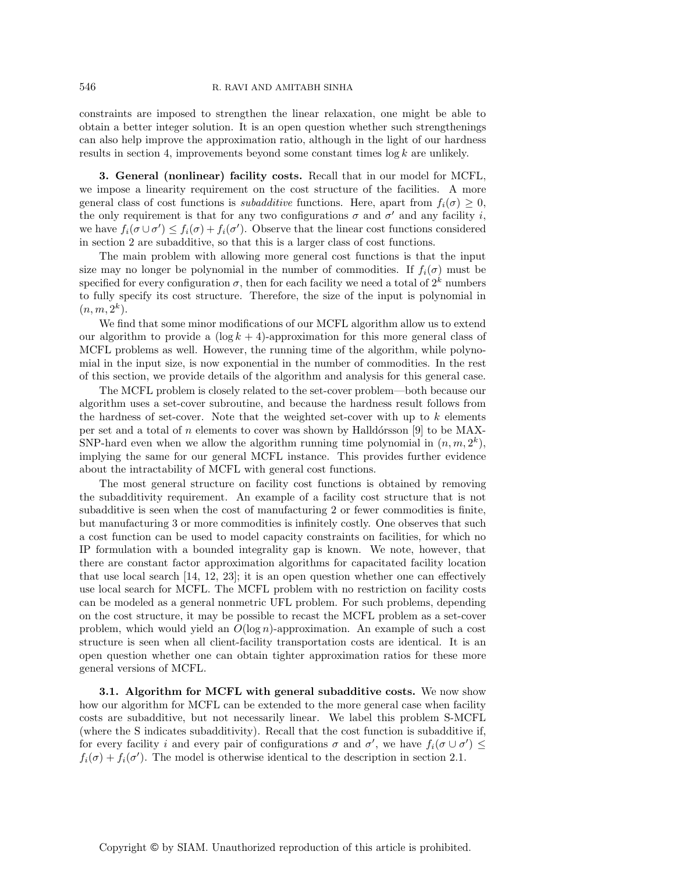constraints are imposed to strengthen the linear relaxation, one might be able to obtain a better integer solution. It is an open question whether such strengthenings can also help improve the approximation ratio, although in the light of our hardness results in section 4, improvements beyond some constant times  $\log k$  are unlikely.

**3. General (nonlinear) facility costs.** Recall that in our model for MCFL, we impose a linearity requirement on the cost structure of the facilities. A more general class of cost functions is *subadditive* functions. Here, apart from  $f_i(\sigma) \geq 0$ , the only requirement is that for any two configurations  $\sigma$  and  $\sigma'$  and any facility i, we have  $f_i(\sigma \cup \sigma') \leq f_i(\sigma) + f_i(\sigma')$ . Observe that the linear cost functions considered in section 2 are subadditive, so that this is a larger class of cost functions.

The main problem with allowing more general cost functions is that the input size may no longer be polynomial in the number of commodities. If  $f_i(\sigma)$  must be specified for every configuration  $\sigma$ , then for each facility we need a total of  $2^k$  numbers to fully specify its cost structure. Therefore, the size of the input is polynomial in  $(n, m, 2^k).$ 

We find that some minor modifications of our MCFL algorithm allow us to extend our algorithm to provide a  $(\log k + 4)$ -approximation for this more general class of MCFL problems as well. However, the running time of the algorithm, while polynomial in the input size, is now exponential in the number of commodities. In the rest of this section, we provide details of the algorithm and analysis for this general case.

The MCFL problem is closely related to the set-cover problem—both because our algorithm uses a set-cover subroutine, and because the hardness result follows from the hardness of set-cover. Note that the weighted set-cover with up to  $k$  elements per set and a total of n elements to cover was shown by Halldórsson [9] to be MAX-SNP-hard even when we allow the algorithm running time polynomial in  $(n, m, 2^k)$ , implying the same for our general MCFL instance. This provides further evidence about the intractability of MCFL with general cost functions.

The most general structure on facility cost functions is obtained by removing the subadditivity requirement. An example of a facility cost structure that is not subadditive is seen when the cost of manufacturing 2 or fewer commodities is finite, but manufacturing 3 or more commodities is infinitely costly. One observes that such a cost function can be used to model capacity constraints on facilities, for which no IP formulation with a bounded integrality gap is known. We note, however, that there are constant factor approximation algorithms for capacitated facility location that use local search [14, 12, 23]; it is an open question whether one can effectively use local search for MCFL. The MCFL problem with no restriction on facility costs can be modeled as a general nonmetric UFL problem. For such problems, depending on the cost structure, it may be possible to recast the MCFL problem as a set-cover problem, which would yield an  $O(\log n)$ -approximation. An example of such a cost structure is seen when all client-facility transportation costs are identical. It is an open question whether one can obtain tighter approximation ratios for these more general versions of MCFL.

**3.1. Algorithm for MCFL with general subadditive costs.** We now show how our algorithm for MCFL can be extended to the more general case when facility costs are subadditive, but not necessarily linear. We label this problem S-MCFL (where the S indicates subadditivity). Recall that the cost function is subadditive if, for every facility i and every pair of configurations  $\sigma$  and  $\sigma'$ , we have  $f_i(\sigma \cup \sigma') \leq$  $f_i(\sigma) + f_i(\sigma')$ . The model is otherwise identical to the description in section 2.1.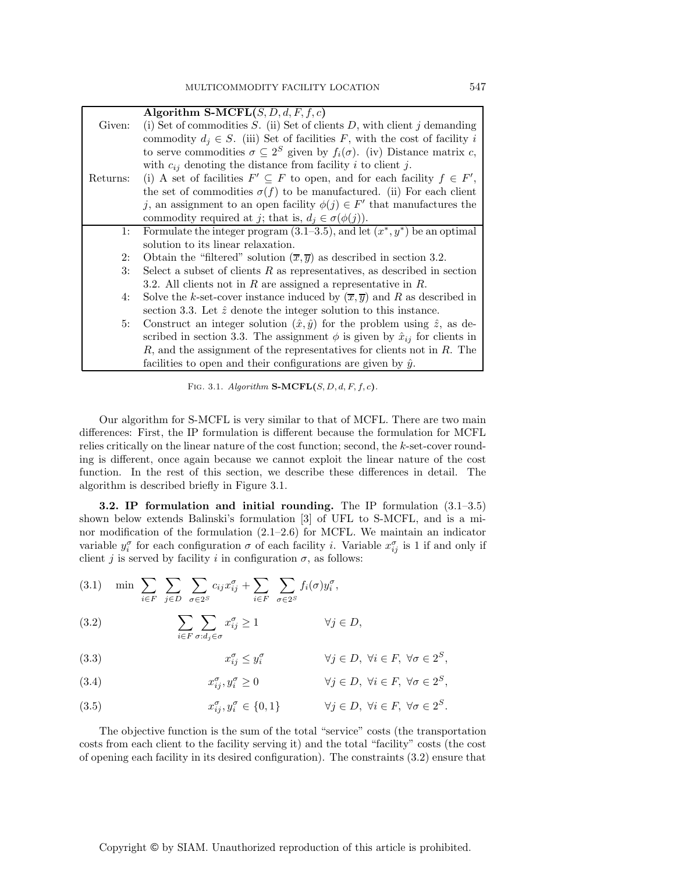|          | Algorithm S-MCFL $(S, D, d, F, f, c)$                                                          |
|----------|------------------------------------------------------------------------------------------------|
| Given:   | (i) Set of commodities $S$ . (ii) Set of clients $D$ , with client $j$ demanding               |
|          | commodity $d_i \in S$ . (iii) Set of facilities F, with the cost of facility i                 |
|          | to serve commodities $\sigma \subseteq 2^S$ given by $f_i(\sigma)$ . (iv) Distance matrix c,   |
|          | with $c_{ij}$ denoting the distance from facility i to client j.                               |
| Returns: | (i) A set of facilities $F' \subseteq F$ to open, and for each facility $f \in F'$ ,           |
|          | the set of commodities $\sigma(f)$ to be manufactured. (ii) For each client                    |
|          | j, an assignment to an open facility $\phi(j) \in F'$ that manufactures the                    |
|          | commodity required at j; that is, $d_i \in \sigma(\phi(j))$ .                                  |
| 1:       | Formulate the integer program $(3.1-3.5)$ , and let $(x^*, y^*)$ be an optimal                 |
|          | solution to its linear relaxation.                                                             |
| 2:       | Obtain the "filtered" solution $(\overline{x}, \overline{y})$ as described in section 3.2.     |
| 3:       | Select a subset of clients $R$ as representatives, as described in section                     |
|          | 3.2. All clients not in $R$ are assigned a representative in $R$ .                             |
| 4:       | Solve the k-set-cover instance induced by $(\overline{x}, \overline{y})$ and R as described in |
|          | section 3.3. Let $\hat{z}$ denote the integer solution to this instance.                       |
| 5:       | Construct an integer solution $(\hat{x}, \hat{y})$ for the problem using $\hat{z}$ , as de-    |
|          | scribed in section 3.3. The assignment $\phi$ is given by $\hat{x}_{ij}$ for clients in        |
|          | $R$ , and the assignment of the representatives for clients not in $R$ . The                   |
|          | facilities to open and their configurations are given by $\hat{y}$ .                           |

FIG. 3.1.  $Algorithm S-MCFL(S, D, d, F, f, c)$ *.* 

Our algorithm for S-MCFL is very similar to that of MCFL. There are two main differences: First, the IP formulation is different because the formulation for MCFL relies critically on the linear nature of the cost function; second, the  $k$ -set-cover rounding is different, once again because we cannot exploit the linear nature of the cost function. In the rest of this section, we describe these differences in detail. The algorithm is described briefly in Figure 3.1.

**3.2. IP formulation and initial rounding.** The IP formulation (3.1–3.5) shown below extends Balinski's formulation [3] of UFL to S-MCFL, and is a minor modification of the formulation (2.1–2.6) for MCFL. We maintain an indicator variable  $y_i^{\sigma}$  for each configuration  $\sigma$  of each facility *i*. Variable  $x_{ij}^{\sigma}$  is 1 if and only if client j is served by facility i in configuration  $\sigma$ , as follows:

(3.1) min 
$$
\sum_{i \in F}
$$
  $\sum_{j \in D}$   $\sum_{\sigma \in 2^S} c_{ij} x_{ij}^{\sigma} + \sum_{i \in F}$   $\sum_{\sigma \in 2^S} f_i(\sigma) y_i^{\sigma}$ ,

(3.2) 
$$
\sum_{i \in F} \sum_{\sigma:d_j \in \sigma} x_{ij}^{\sigma} \ge 1 \qquad \forall j \in D,
$$

(3.3) 
$$
x_{ij}^{\sigma} \le y_i^{\sigma} \qquad \forall j \in D, \ \forall i \in F, \ \forall \sigma \in 2^S,
$$

(3.4) 
$$
x_{ij}^{\sigma}, y_i^{\sigma} \ge 0 \qquad \forall j \in D, \ \forall i \in F, \ \forall \sigma \in 2^S,
$$

(3.5) 
$$
x_{ij}^{\sigma}, y_i^{\sigma} \in \{0, 1\} \qquad \forall j \in D, \ \forall i \in F, \ \forall \sigma \in 2^S.
$$

The objective function is the sum of the total "service" costs (the transportation costs from each client to the facility serving it) and the total "facility" costs (the cost of opening each facility in its desired configuration). The constraints (3.2) ensure that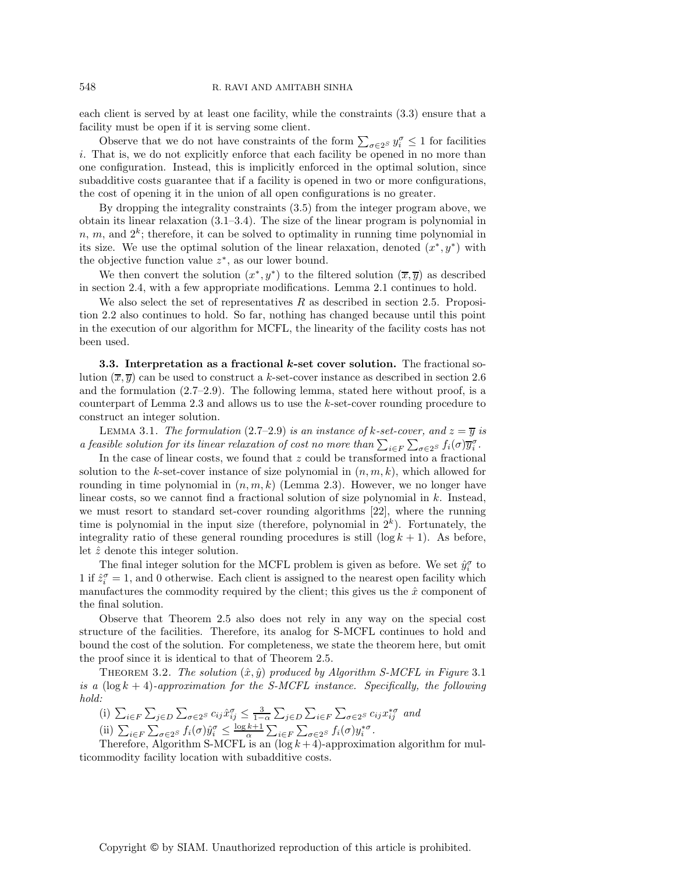each client is served by at least one facility, while the constraints (3.3) ensure that a facility must be open if it is serving some client.

Observe that we do not have constraints of the form  $\sum_{\sigma \in 2^S} y_i^{\sigma} \leq 1$  for facilities hat is we do not explicitly approve that each facility be opened in no more than i. That is, we do not explicitly enforce that each facility be opened in no more than one configuration. Instead, this is implicitly enforced in the optimal solution, since subadditive costs guarantee that if a facility is opened in two or more configurations, the cost of opening it in the union of all open configurations is no greater.

By dropping the integrality constraints (3.5) from the integer program above, we obtain its linear relaxation (3.1–3.4). The size of the linear program is polynomial in n, m, and  $2^k$ ; therefore, it can be solved to optimality in running time polynomial in its size. We use the optimal solution of the linear relaxation, denoted  $(x^*, y^*)$  with the objective function value  $z^*$ , as our lower bound.

We then convert the solution  $(x^*, y^*)$  to the filtered solution  $(\overline{x}, \overline{y})$  as described in section 2.4, with a few appropriate modifications. Lemma 2.1 continues to hold.

We also select the set of representatives  $R$  as described in section 2.5. Proposition 2.2 also continues to hold. So far, nothing has changed because until this point in the execution of our algorithm for MCFL, the linearity of the facility costs has not been used.

**3.3. Interpretation as a fractional** *k***-set cover solution.** The fractional solution  $(\overline{x}, \overline{y})$  can be used to construct a k-set-cover instance as described in section 2.6 and the formulation (2.7–2.9). The following lemma, stated here without proof, is a counterpart of Lemma 2.3 and allows us to use the k-set-cover rounding procedure to construct an integer solution.

LEMMA 3.1. *The formulation* (2.7–2.9) *is an instance of k-set-cover, and*  $z = \overline{y}$  *is a feasible solution for its linear relaxation of cost no more than*  $\sum_{i \in F} \sum_{\sigma \in 2^S} f_i(\sigma) \overline{y_i^{\sigma}}$ .<br>In the asse of linear sects, we found that  $\sigma$  sould be transformed into a fractions

In the case of linear costs, we found that  $z$  could be transformed into a fractional solution to the k-set-cover instance of size polynomial in  $(n, m, k)$ , which allowed for rounding in time polynomial in  $(n, m, k)$  (Lemma 2.3). However, we no longer have linear costs, so we cannot find a fractional solution of size polynomial in  $k$ . Instead, we must resort to standard set-cover rounding algorithms [22], where the running time is polynomial in the input size (therefore, polynomial in  $2<sup>k</sup>$ ). Fortunately, the integrality ratio of these general rounding procedures is still  $(\log k + 1)$ . As before, let  $\hat{z}$  denote this integer solution.

The final integer solution for the MCFL problem is given as before. We set  $\hat{y}_i^{\sigma}$  to 1 if  $\hat{z}_i^{\sigma} = 1$ , and 0 otherwise. Each client is assigned to the nearest open facility which manufactures the commodity required by the client; this gives us the  $\hat{x}$  component of the final solution.

Observe that Theorem 2.5 also does not rely in any way on the special cost structure of the facilities. Therefore, its analog for S-MCFL continues to hold and bound the cost of the solution. For completeness, we state the theorem here, but omit the proof since it is identical to that of Theorem 2.5.

THEOREM 3.2. *The solution*  $(\hat{x}, \hat{y})$  produced by Algorithm S-MCFL in Figure 3.1 *is a*  $(\log k + 4)$ -approximation for the S-MCFL instance. Specifically, the following *hold:*

(i)  $\sum_{i \in F} \sum_{j \in D} \sum_{\sigma \in 2^S} c_{ij} \hat{x}_{ij}^{\sigma} \leq \frac{3}{1-\alpha} \sum_{j \in D} \sum_{i \in F} \sum_{\sigma \in 2^S} c_{ij} x_{ij}^{*\sigma}$  and (ii)  $\sum_{i \in F} \sum_{\sigma \in 2^S} f_i(\sigma) \hat{y}_i^{\sigma} \leq \frac{\log k + 1}{\alpha} \sum_{i \in F} \sum_{\sigma \in 2^S} f_i(\sigma) y_i^{*\sigma}$ .<br>Therefore, Algorithm S. MCFI is an (log k + 4) approximately

Therefore, Algorithm S-MCFL is an  $(\log k + 4)$ -approximation algorithm for multicommodity facility location with subadditive costs.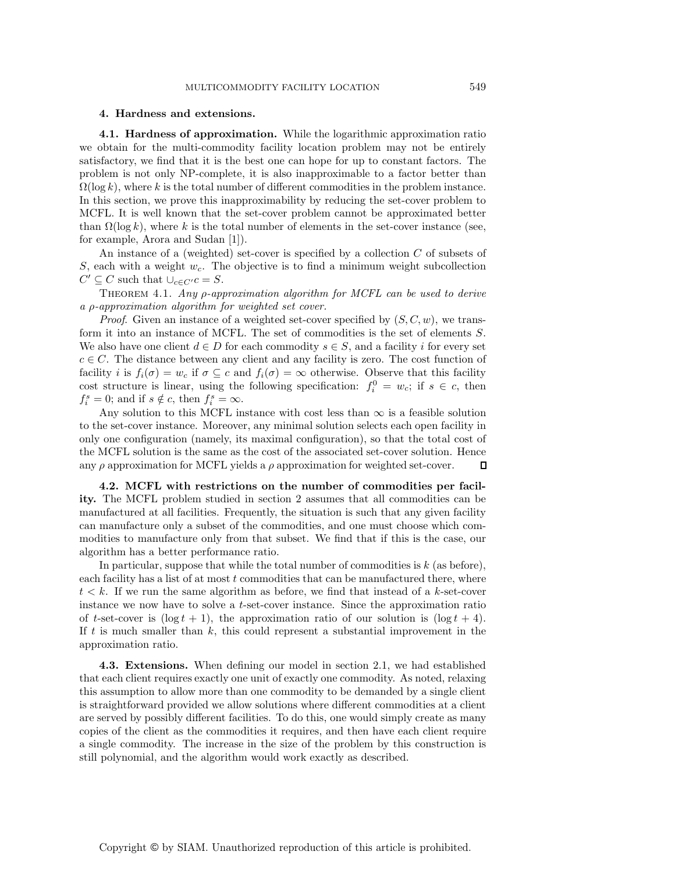## **4. Hardness and extensions.**

**4.1. Hardness of approximation.** While the logarithmic approximation ratio we obtain for the multi-commodity facility location problem may not be entirely satisfactory, we find that it is the best one can hope for up to constant factors. The problem is not only NP-complete, it is also inapproximable to a factor better than  $\Omega(\log k)$ , where k is the total number of different commodities in the problem instance. In this section, we prove this inapproximability by reducing the set-cover problem to MCFL. It is well known that the set-cover problem cannot be approximated better than  $\Omega(\log k)$ , where k is the total number of elements in the set-cover instance (see, for example, Arora and Sudan [1]).

An instance of a (weighted) set-cover is specified by a collection  $C$  of subsets of S, each with a weight  $w_c$ . The objective is to find a minimum weight subcollection  $C' \subseteq C$  such that  $\bigcup_{c \in C'} c = S$ .

Theorem 4.1. *Any* ρ*-approximation algorithm for MCFL can be used to derive a* ρ*-approximation algorithm for weighted set cover.*

*Proof.* Given an instance of a weighted set-cover specified by  $(S, C, w)$ , we transform it into an instance of MCFL. The set of commodities is the set of elements S. We also have one client  $d \in D$  for each commodity  $s \in S$ , and a facility i for every set  $c \in C$ . The distance between any client and any facility is zero. The cost function of facility i is  $f_i(\sigma) = w_c$  if  $\sigma \subseteq c$  and  $f_i(\sigma) = \infty$  otherwise. Observe that this facility cost structure is linear, using the following specification:  $f_i^0 = w_c$ ; if  $s \in c$ , then  $f_i^s = 0$ ; and if  $s \notin c$ , then  $f_i^s = \infty$ .

Any solution to this MCFL instance with cost less than  $\infty$  is a feasible solution to the set-cover instance. Moreover, any minimal solution selects each open facility in only one configuration (namely, its maximal configuration), so that the total cost of the MCFL solution is the same as the cost of the associated set-cover solution. Hence any  $\rho$  approximation for MCFL yields a  $\rho$  approximation for weighted set-cover.  $\Box$ 

**4.2. MCFL with restrictions on the number of commodities per facility.** The MCFL problem studied in section 2 assumes that all commodities can be manufactured at all facilities. Frequently, the situation is such that any given facility can manufacture only a subset of the commodities, and one must choose which commodities to manufacture only from that subset. We find that if this is the case, our algorithm has a better performance ratio.

In particular, suppose that while the total number of commodities is  $k$  (as before), each facility has a list of at most t commodities that can be manufactured there, where  $t < k$ . If we run the same algorithm as before, we find that instead of a k-set-cover instance we now have to solve a t-set-cover instance. Since the approximation ratio of t-set-cover is  $(\log t + 1)$ , the approximation ratio of our solution is  $(\log t + 4)$ . If  $t$  is much smaller than  $k$ , this could represent a substantial improvement in the approximation ratio.

**4.3. Extensions.** When defining our model in section 2.1, we had established that each client requires exactly one unit of exactly one commodity. As noted, relaxing this assumption to allow more than one commodity to be demanded by a single client is straightforward provided we allow solutions where different commodities at a client are served by possibly different facilities. To do this, one would simply create as many copies of the client as the commodities it requires, and then have each client require a single commodity. The increase in the size of the problem by this construction is still polynomial, and the algorithm would work exactly as described.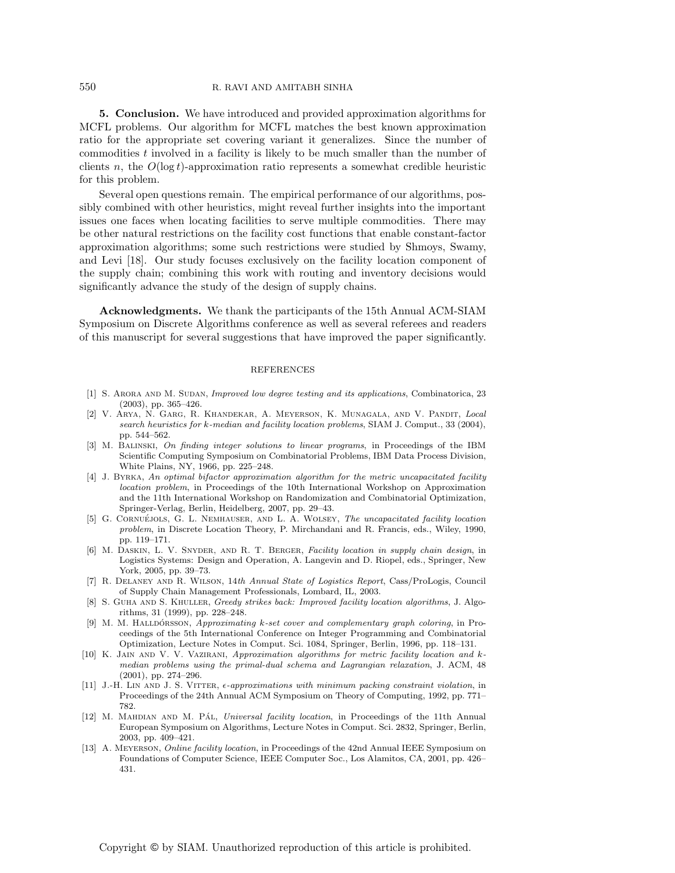#### 550 R. RAVI AND AMITABH SINHA

**5. Conclusion.** We have introduced and provided approximation algorithms for MCFL problems. Our algorithm for MCFL matches the best known approximation ratio for the appropriate set covering variant it generalizes. Since the number of commodities t involved in a facility is likely to be much smaller than the number of clients n, the  $O(\log t)$ -approximation ratio represents a somewhat credible heuristic for this problem.

Several open questions remain. The empirical performance of our algorithms, possibly combined with other heuristics, might reveal further insights into the important issues one faces when locating facilities to serve multiple commodities. There may be other natural restrictions on the facility cost functions that enable constant-factor approximation algorithms; some such restrictions were studied by Shmoys, Swamy, and Levi [18]. Our study focuses exclusively on the facility location component of the supply chain; combining this work with routing and inventory decisions would significantly advance the study of the design of supply chains.

**Acknowledgments.** We thank the participants of the 15th Annual ACM-SIAM Symposium on Discrete Algorithms conference as well as several referees and readers of this manuscript for several suggestions that have improved the paper significantly.

#### REFERENCES

- [1] S. Arora and M. Sudan, *Improved low degree testing and its applications*, Combinatorica, 23 (2003), pp. 365–426.
- [2] V. Arya, N. Garg, R. Khandekar, A. Meyerson, K. Munagala, and V. Pandit, *Local search heuristics for* k*-median and facility location problems*, SIAM J. Comput., 33 (2004), pp. 544–562.
- [3] M. Balinski, *On finding integer solutions to linear programs*, in Proceedings of the IBM Scientific Computing Symposium on Combinatorial Problems, IBM Data Process Division, White Plains, NY, 1966, pp. 225–248.
- [4] J. Byrka, *An optimal bifactor approximation algorithm for the metric uncapacitated facility location problem*, in Proceedings of the 10th International Workshop on Approximation and the 11th International Workshop on Randomization and Combinatorial Optimization, Springer-Verlag, Berlin, Heidelberg, 2007, pp. 29–43.
- [5] G. CORNUÉJOLS, G. L. NEMHAUSER, AND L. A. WOLSEY, *The uncapacitated facility location problem*, in Discrete Location Theory, P. Mirchandani and R. Francis, eds., Wiley, 1990, pp. 119–171.
- [6] M. Daskin, L. V. Snyder, and R. T. Berger, *Facility location in supply chain design*, in Logistics Systems: Design and Operation, A. Langevin and D. Riopel, eds., Springer, New York, 2005, pp. 39–73.
- [7] R. Delaney and R. Wilson, 14*th Annual State of Logistics Report*, Cass/ProLogis, Council of Supply Chain Management Professionals, Lombard, IL, 2003.
- [8] S. Guha and S. Khuller, *Greedy strikes back: Improved facility location algorithms*, J. Algorithms, 31 (1999), pp. 228–248.
- [9] M. M. Hallporsson, *Approximating k-set cover and complementary graph coloring*, in Proceedings of the 5th International Conference on Integer Programming and Combinatorial Optimization, Lecture Notes in Comput. Sci. 1084, Springer, Berlin, 1996, pp. 118–131.
- [10] K. Jain and V. V. Vazirani, *Approximation algorithms for metric facility location and* k*median problems using the primal-dual schema and Lagrangian relaxation*, J. ACM, 48 (2001), pp. 274–296.
- [11] J.-H. LIN AND J. S. VITTER,  $\epsilon$ -approximations with minimum packing constraint violation, in Proceedings of the 24th Annual ACM Symposium on Theory of Computing, 1992, pp. 771– 782.
- [12] M. MAHDIAN AND M. PAL, *Universal facility location*, in Proceedings of the 11th Annual European Symposium on Algorithms, Lecture Notes in Comput. Sci. 2832, Springer, Berlin, 2003, pp. 409–421.
- [13] A. Meyerson, *Online facility location*, in Proceedings of the 42nd Annual IEEE Symposium on Foundations of Computer Science, IEEE Computer Soc., Los Alamitos, CA, 2001, pp. 426– 431.